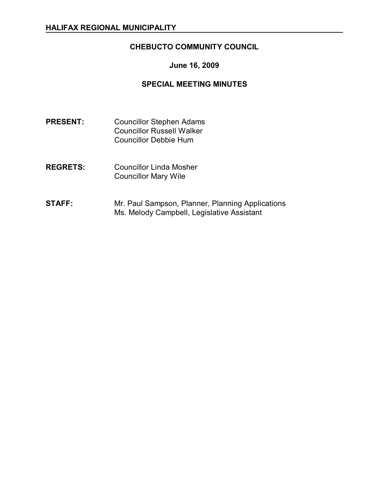# **CHEBUCTO COMMUNITY COUNCIL**

## **June 16, 2009**

### **SPECIAL MEETING MINUTES**

- **PRESENT:** Councillor Stephen Adams Councillor Russell Walker Councillor Debbie Hum
- **REGRETS:** Councillor Linda Mosher Councillor Mary Wile
- **STAFF:** Mr. Paul Sampson, Planner, Planning Applications Ms. Melody Campbell, Legislative Assistant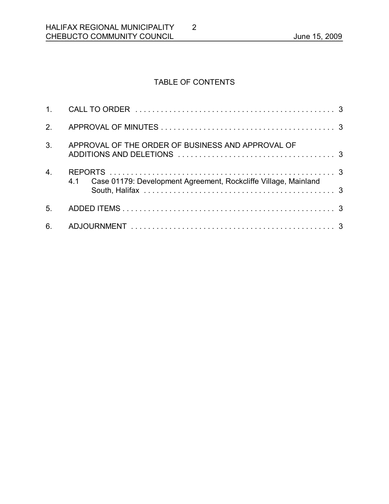# TABLE OF CONTENTS

2

| 2 <sub>1</sub>   |                                                                        |  |
|------------------|------------------------------------------------------------------------|--|
| 3 <sub>1</sub>   | APPROVAL OF THE ORDER OF BUSINESS AND APPROVAL OF                      |  |
| $\overline{4}$ . | Case 01179: Development Agreement, Rockcliffe Village, Mainland<br>4.1 |  |
| 5.               |                                                                        |  |
| 6.               |                                                                        |  |